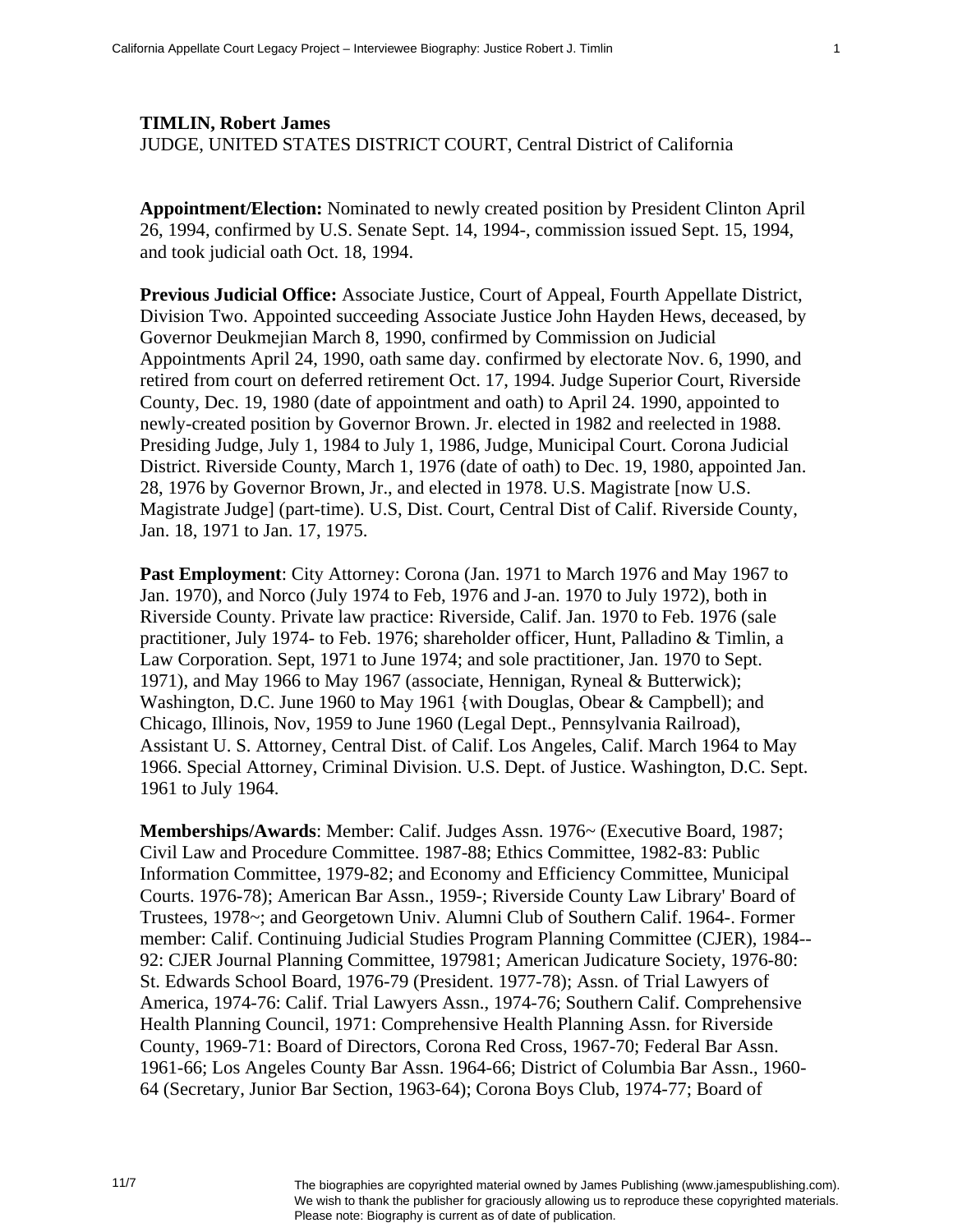## **TIMLIN, Robert James**  JUDGE, UNITED STATES DISTRICT COURT, Central District of California

**Appointment/Election:** Nominated to newly created position by President Clinton April 26, 1994, confirmed by U.S. Senate Sept. 14, 1994-, commission issued Sept. 15, 1994, and took judicial oath Oct. 18, 1994.

**Previous Judicial Office:** Associate Justice, Court of Appeal, Fourth Appellate District, Division Two. Appointed succeeding Associate Justice John Hayden Hews, deceased, by Governor Deukmejian March 8, 1990, confirmed by Commission on Judicial Appointments April 24, 1990, oath same day. confirmed by electorate Nov. 6, 1990, and retired from court on deferred retirement Oct. 17, 1994. Judge Superior Court, Riverside County, Dec. 19, 1980 (date of appointment and oath) to April 24. 1990, appointed to newly-created position by Governor Brown. Jr. elected in 1982 and reelected in 1988. Presiding Judge, July 1, 1984 to July 1, 1986, Judge, Municipal Court. Corona Judicial District. Riverside County, March 1, 1976 (date of oath) to Dec. 19, 1980, appointed Jan. 28, 1976 by Governor Brown, Jr., and elected in 1978. U.S. Magistrate [now U.S. Magistrate Judge] (part-time). U.S, Dist. Court, Central Dist of Calif. Riverside County, Jan. 18, 1971 to Jan. 17, 1975.

Past Employment: City Attorney: Corona (Jan. 1971 to March 1976 and May 1967 to Jan. 1970), and Norco (July 1974 to Feb, 1976 and J-an. 1970 to July 1972), both in Riverside County. Private law practice: Riverside, Calif. Jan. 1970 to Feb. 1976 (sale practitioner, July 1974- to Feb. 1976; shareholder officer, Hunt, Palladino & Timlin, a Law Corporation. Sept, 1971 to June 1974; and sole practitioner, Jan. 1970 to Sept. 1971), and May 1966 to May 1967 (associate, Hennigan, Ryneal & Butterwick); Washington, D.C. June 1960 to May 1961 {with Douglas, Obear & Campbell); and Chicago, Illinois, Nov, 1959 to June 1960 (Legal Dept., Pennsylvania Railroad), Assistant U. S. Attorney, Central Dist. of Calif. Los Angeles, Calif. March 1964 to May 1966. Special Attorney, Criminal Division. U.S. Dept. of Justice. Washington, D.C. Sept. 1961 to July 1964.

**Memberships/Awards**: Member: Calif. Judges Assn. 1976~ (Executive Board, 1987; Civil Law and Procedure Committee. 1987-88; Ethics Committee, 1982-83: Public Information Committee, 1979-82; and Economy and Efficiency Committee, Municipal Courts. 1976-78); American Bar Assn., 1959-; Riverside County Law Library' Board of Trustees, 1978~; and Georgetown Univ. Alumni Club of Southern Calif. 1964-. Former member: Calif. Continuing Judicial Studies Program Planning Committee (CJER), 1984-- 92: CJER Journal Planning Committee, 197981; American Judicature Society, 1976-80: St. Edwards School Board, 1976-79 (President. 1977-78); Assn. of Trial Lawyers of America, 1974-76: Calif. Trial Lawyers Assn., 1974-76; Southern Calif. Comprehensive Health Planning Council, 1971: Comprehensive Health Planning Assn. for Riverside County, 1969-71: Board of Directors, Corona Red Cross, 1967-70; Federal Bar Assn. 1961-66; Los Angeles County Bar Assn. 1964-66; District of Columbia Bar Assn., 1960- 64 (Secretary, Junior Bar Section, 1963-64); Corona Boys Club, 1974-77; Board of